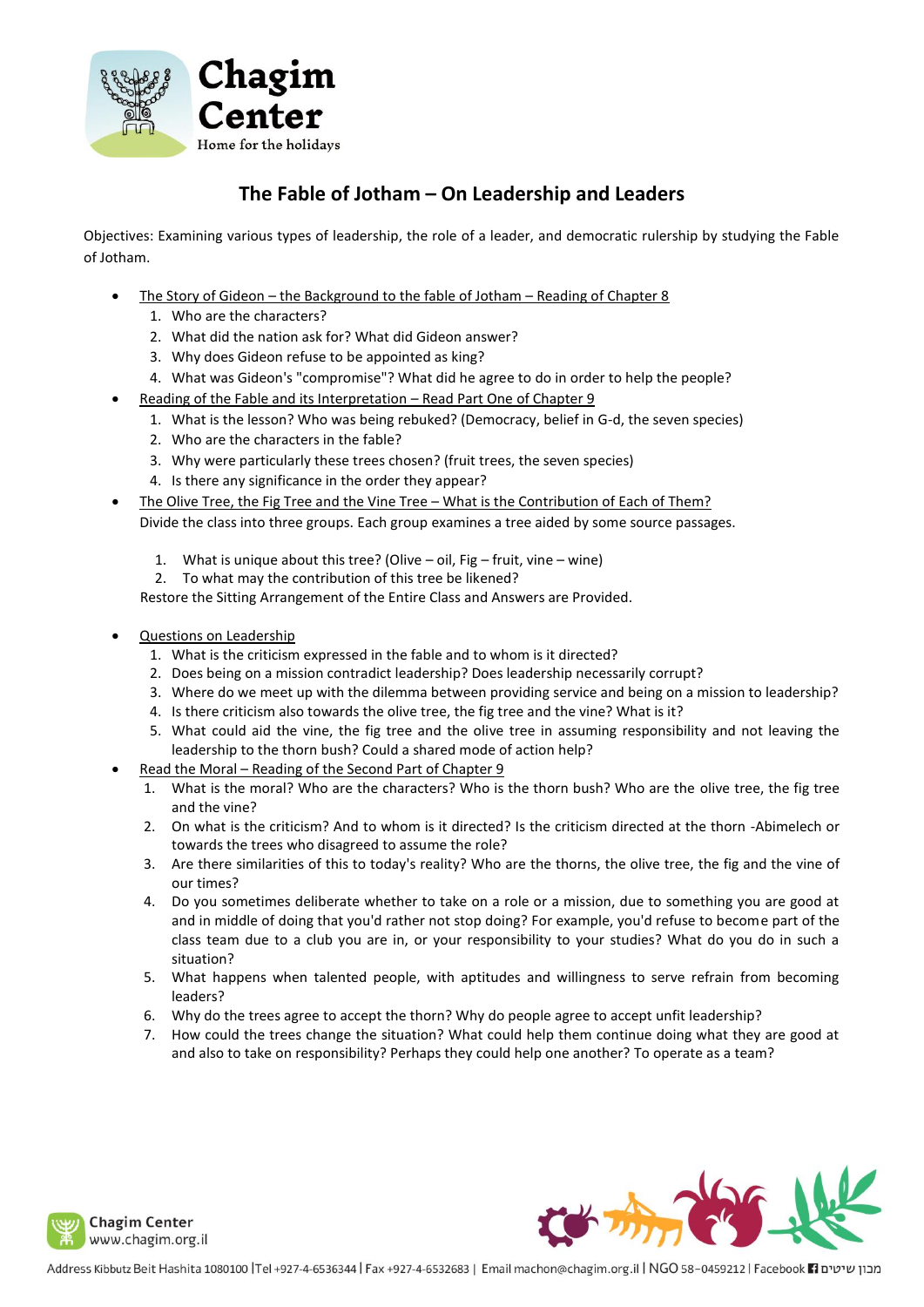

# **The Fable of Jotham – On Leadership and Leaders**

Objectives: Examining various types of leadership, the role of a leader, and democratic rulership by studying the Fable of Jotham.

- The Story of Gideon the Background to the fable of Jotham Reading of Chapter 8
	- 1. Who are the characters?
	- 2. What did the nation ask for? What did Gideon answer?
	- 3. Why does Gideon refuse to be appointed as king?
	- 4. What was Gideon's "compromise"? What did he agree to do in order to help the people?
	- Reading of the Fable and its Interpretation Read Part One of Chapter 9
		- 1. What is the lesson? Who was being rebuked? (Democracy, belief in G-d, the seven species)
		- 2. Who are the characters in the fable?
		- 3. Why were particularly these trees chosen? (fruit trees, the seven species)
		- 4. Is there any significance in the order they appear?
- The Olive Tree, the Fig Tree and the Vine Tree What is the Contribution of Each of Them? Divide the class into three groups. Each group examines a tree aided by some source passages.
	- 1. What is unique about this tree? (Olive oil, Fig fruit, vine wine)
	- 2. To what may the contribution of this tree be likened?

Restore the Sitting Arrangement of the Entire Class and Answers are Provided.

- Questions on Leadership
	- 1. What is the criticism expressed in the fable and to whom is it directed?
	- 2. Does being on a mission contradict leadership? Does leadership necessarily corrupt?
	- 3. Where do we meet up with the dilemma between providing service and being on a mission to leadership?
	- 4. Is there criticism also towards the olive tree, the fig tree and the vine? What is it?
	- 5. What could aid the vine, the fig tree and the olive tree in assuming responsibility and not leaving the leadership to the thorn bush? Could a shared mode of action help?
- Read the Moral Reading of the Second Part of Chapter 9
	- 1. What is the moral? Who are the characters? Who is the thorn bush? Who are the olive tree, the fig tree and the vine?
	- 2. On what is the criticism? And to whom is it directed? Is the criticism directed at the thorn -Abimelech or towards the trees who disagreed to assume the role?
	- 3. Are there similarities of this to today's reality? Who are the thorns, the olive tree, the fig and the vine of our times?
	- 4. Do you sometimes deliberate whether to take on a role or a mission, due to something you are good at and in middle of doing that you'd rather not stop doing? For example, you'd refuse to become part of the class team due to a club you are in, or your responsibility to your studies? What do you do in such a situation?
	- 5. What happens when talented people, with aptitudes and willingness to serve refrain from becoming leaders?
	- 6. Why do the trees agree to accept the thorn? Why do people agree to accept unfit leadership?
	- 7. How could the trees change the situation? What could help them continue doing what they are good at and also to take on responsibility? Perhaps they could help one another? To operate as a team?

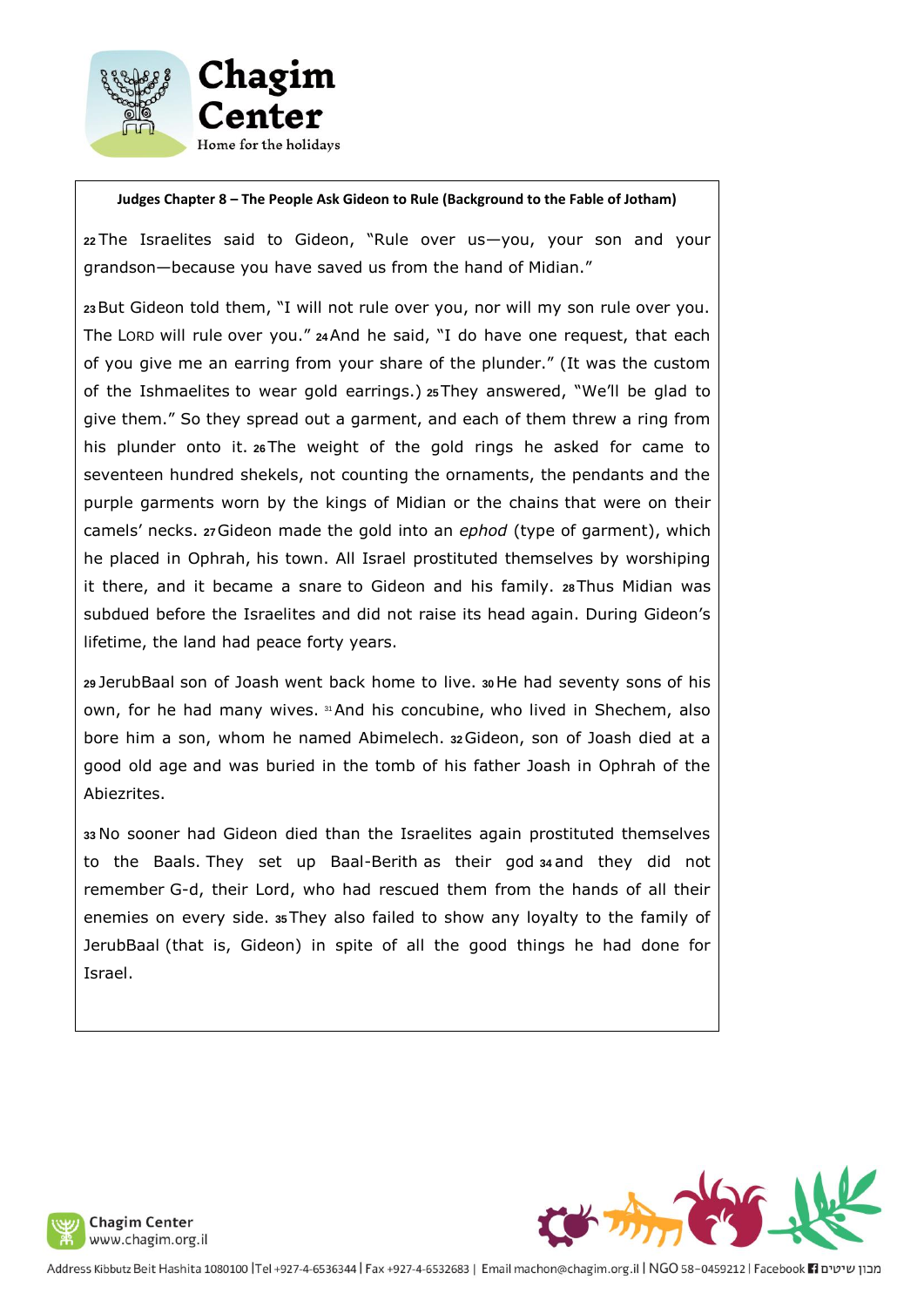

#### **Judges Chapter 8 – The People Ask Gideon to Rule (Background to the Fable of Jotham)**

**<sup>22</sup>** The Israelites said to Gideon, "Rule over us—you, your son and your grandson—because you have saved us from the hand of Midian."

**<sup>23</sup>**But Gideon told them, "I will not rule over you, nor will my son rule over you. The LORD will rule over you." **<sup>24</sup>**And he said, "I do have one request, that each of you give me an earring from your share of the plunder." (It was the custom of the Ishmaelites to wear gold earrings.) **<sup>25</sup>**They answered, "We'll be glad to give them." So they spread out a garment, and each of them threw a ring from his plunder onto it. **<sup>26</sup>**The weight of the gold rings he asked for came to seventeen hundred shekels, not counting the ornaments, the pendants and the purple garments worn by the kings of Midian or the chains that were on their camels' necks. **<sup>27</sup>**Gideon made the gold into an *ephod* (type of garment), which he placed in Ophrah, his town. All Israel prostituted themselves by worshiping it there, and it became a snare to Gideon and his family. **28**Thus Midian was subdued before the Israelites and did not raise its head again. During Gideon's lifetime, the land had peace forty years.

**<sup>29</sup>** JerubBaal son of Joash went back home to live. **<sup>30</sup>**He had seventy sons of his own, for he had many wives. <sup>31</sup>And his concubine, who lived in Shechem, also bore him a son, whom he named Abimelech. **<sup>32</sup>**Gideon, son of Joash died at a good old age and was buried in the tomb of his father Joash in Ophrah of the Abiezrites.

**<sup>33</sup>** No sooner had Gideon died than the Israelites again prostituted themselves to the Baals. They set up Baal-Berith as their god **<sup>34</sup>** and they did not remember G-d, their Lord, who had rescued them from the hands of all their enemies on every side. **<sup>35</sup>**They also failed to show any loyalty to the family of JerubBaal (that is, Gideon) in spite of all the good things he had done for Israel.



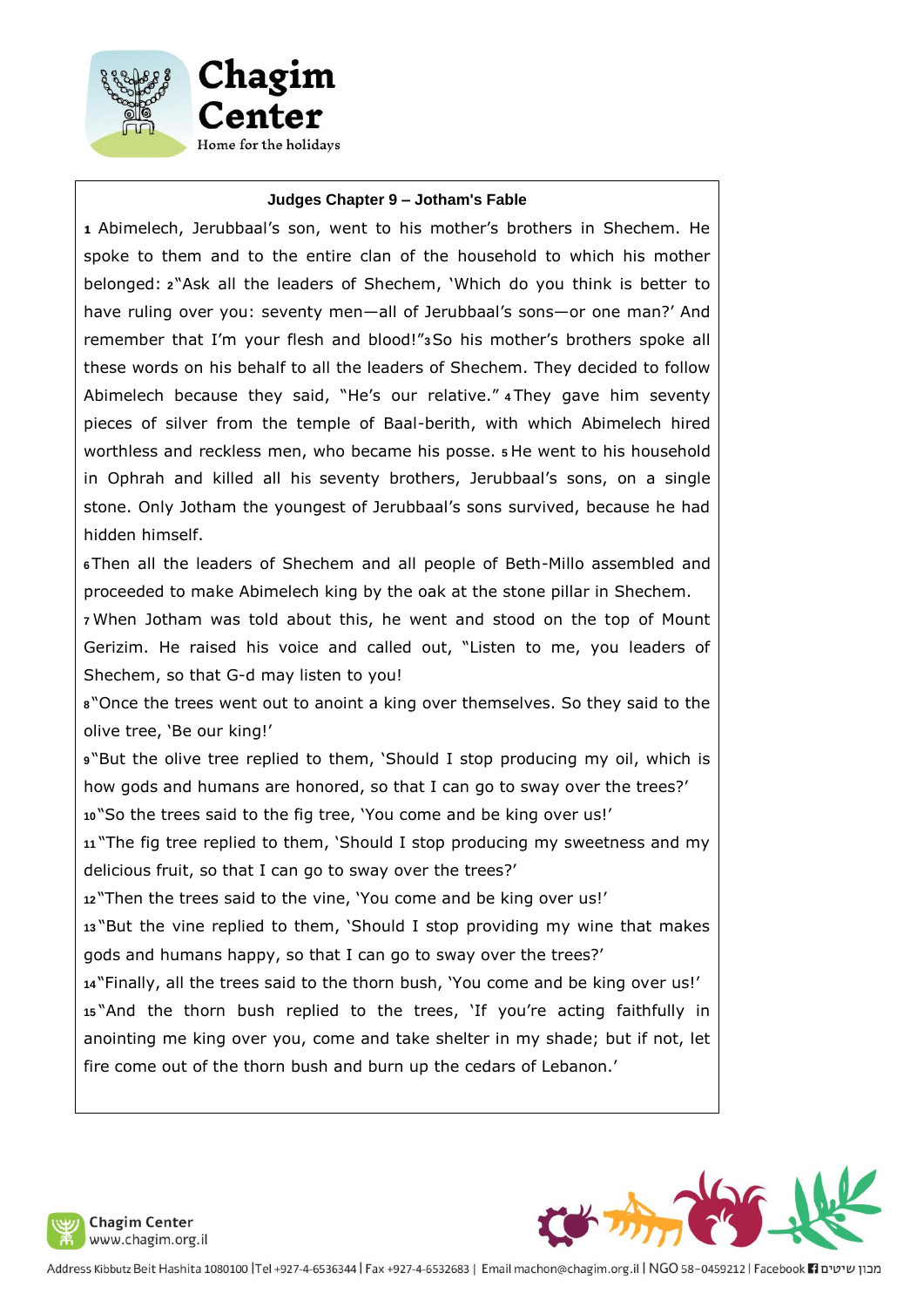



#### **Judges Chapter 9 – Jotham's Fable**

**<sup>1</sup>** Abimelech, Jerubbaal's son, went to his mother's brothers in Shechem. He spoke to them and to the entire clan of the household to which his mother belonged: **<sup>2</sup>** "Ask all the leaders of Shechem, 'Which do you think is better to have ruling over you: seventy men—all of Jerubbaal's sons—or one man?' And remember that I'm your flesh and blood!"**3**So his mother's brothers spoke all these words on his behalf to all the leaders of Shechem. They decided to follow Abimelech because they said, "He's our relative." **<sup>4</sup>** They gave him seventy pieces of silver from the temple of Baal-berith, with which Abimelech hired worthless and reckless men, who became his posse. **<sup>5</sup>** He went to his household in Ophrah and killed all his seventy brothers, Jerubbaal's sons, on a single stone. Only Jotham the youngest of Jerubbaal's sons survived, because he had hidden himself.

**<sup>6</sup>**Then all the leaders of Shechem and all people of Beth-Millo assembled and proceeded to make Abimelech king by the oak at the stone pillar in Shechem.

**<sup>7</sup>** When Jotham was told about this, he went and stood on the top of Mount Gerizim. He raised his voice and called out, "Listen to me, you leaders of Shechem, so that G-d may listen to you!

**<sup>8</sup>** "Once the trees went out to anoint a king over themselves. So they said to the olive tree, 'Be our king!'

**<sup>9</sup>** "But the olive tree replied to them, 'Should I stop producing my oil, which is how gods and humans are honored, so that I can go to sway over the trees?' **<sup>10</sup>** "So the trees said to the fig tree, 'You come and be king over us!'

**<sup>11</sup>** "The fig tree replied to them, 'Should I stop producing my sweetness and my delicious fruit, so that I can go to sway over the trees?'

**<sup>12</sup>** "Then the trees said to the vine, 'You come and be king over us!'

**<sup>13</sup>** "But the vine replied to them, 'Should I stop providing my wine that makes gods and humans happy, so that I can go to sway over the trees?'

**<sup>14</sup>** "Finally, all the trees said to the thorn bush, 'You come and be king over us!' **<sup>15</sup>** "And the thorn bush replied to the trees, 'If you're acting faithfully in anointing me king over you, come and take shelter in my shade; but if not, let fire come out of the thorn bush and burn up the cedars of Lebanon.'



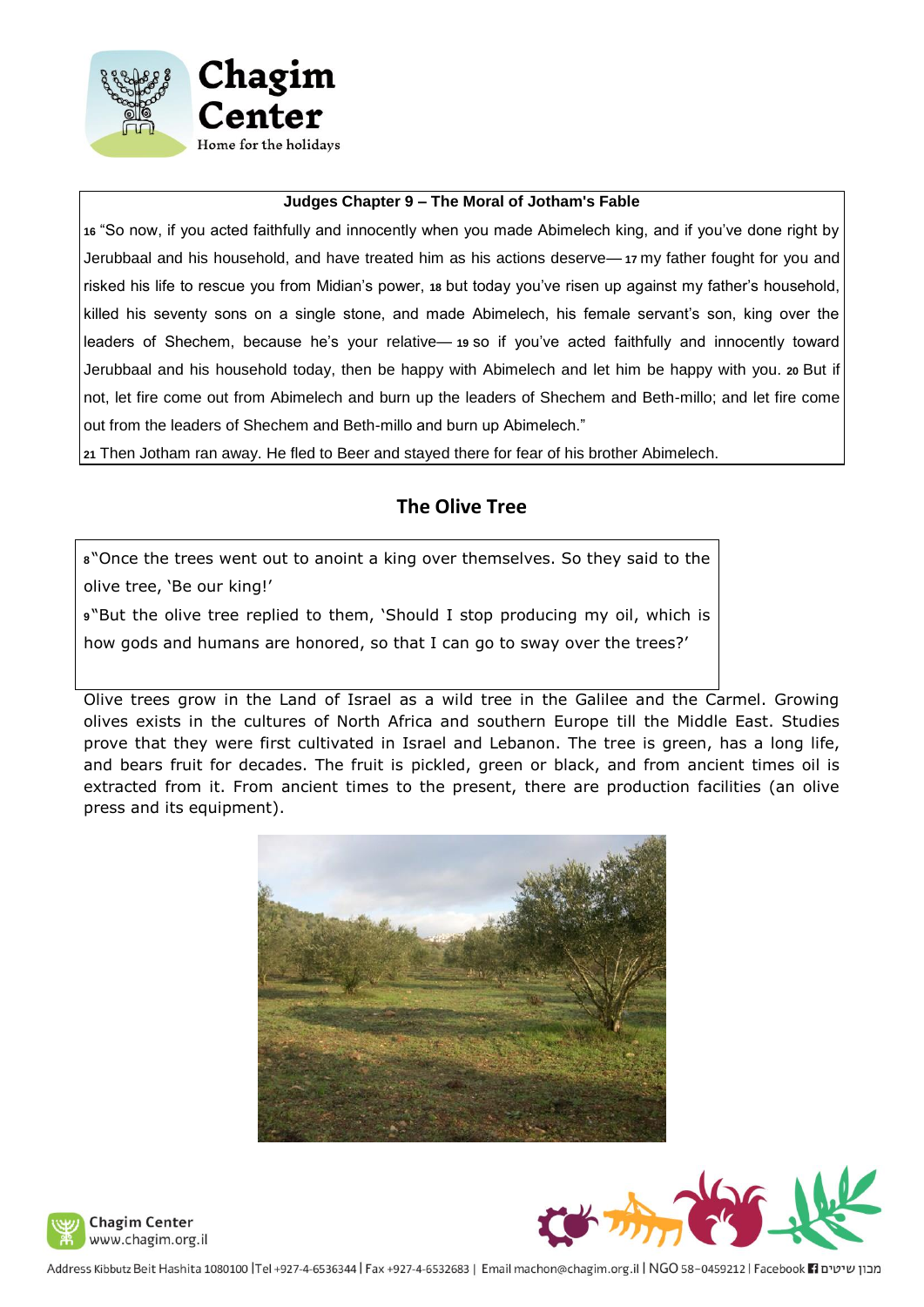

#### **Judges Chapter 9 – The Moral of Jotham's Fable**

**<sup>16</sup>** "So now, if you acted faithfully and innocently when you made Abimelech king, and if you've done right by Jerubbaal and his household, and have treated him as his actions deserve— **<sup>17</sup>** my father fought for you and risked his life to rescue you from Midian's power, **<sup>18</sup>** but today you've risen up against my father's household, killed his seventy sons on a single stone, and made Abimelech, his female servant's son, king over the leaders of Shechem, because he's your relative— **<sup>19</sup>** so if you've acted faithfully and innocently toward Jerubbaal and his household today, then be happy with Abimelech and let him be happy with you. **<sup>20</sup>** But if not, let fire come out from Abimelech and burn up the leaders of Shechem and Beth-millo; and let fire come out from the leaders of Shechem and Beth-millo and burn up Abimelech."

**<sup>21</sup>** Then Jotham ran away. He fled to Beer and stayed there for fear of his brother Abimelech.

## **The Olive Tree**

**<sup>8</sup>** "Once the trees went out to anoint a king over themselves. So they said to the olive tree, 'Be our king!'

**<sup>9</sup>** "But the olive tree replied to them, 'Should I stop producing my oil, which is how gods and humans are honored, so that I can go to sway over the trees?'

Olive trees grow in the Land of Israel as a wild tree in the Galilee and the Carmel. Growing olives exists in the cultures of North Africa and southern Europe till the Middle East. Studies prove that they were first cultivated in Israel and Lebanon. The tree is green, has a long life, and bears fruit for decades. The fruit is pickled, green or black, and from ancient times oil is extracted from it. From ancient times to the present, there are production facilities (an olive press and its equipment).





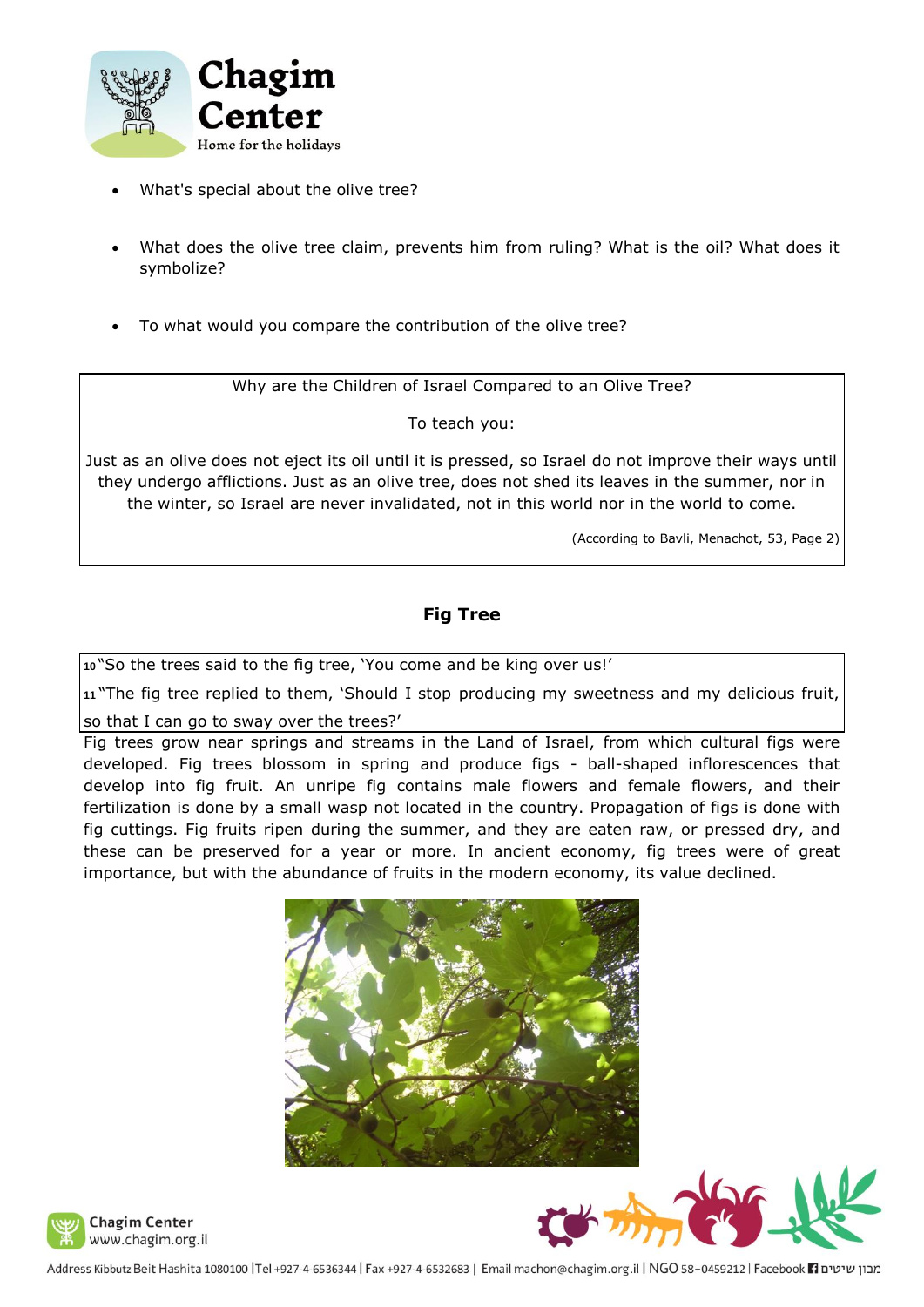

- What's special about the olive tree?
- What does the olive tree claim, prevents him from ruling? What is the oil? What does it symbolize?
- To what would you compare the contribution of the olive tree?

Why are the Children of Israel Compared to an Olive Tree?

To teach you:

Just as an olive does not eject its oil until it is pressed, so Israel do not improve their ways until they undergo afflictions. Just as an olive tree, does not shed its leaves in the summer, nor in the winter, so Israel are never invalidated, not in this world nor in the world to come.

(According to Bavli, Menachot, 53, Page 2)

### **Fig Tree**

**<sup>10</sup>** "So the trees said to the fig tree, 'You come and be king over us!'

**<sup>11</sup>** "The fig tree replied to them, 'Should I stop producing my sweetness and my delicious fruit,

so that I can go to sway over the trees?'

Fig trees grow near springs and streams in the Land of Israel, from which cultural figs were developed. Fig trees blossom in spring and produce figs - ball-shaped inflorescences that develop into fig fruit. An unripe fig contains male flowers and female flowers, and their fertilization is done by a small wasp not located in the country. Propagation of figs is done with fig cuttings. Fig fruits ripen during the summer, and they are eaten raw, or pressed dry, and these can be preserved for a year or more. In ancient economy, fig trees were of great importance, but with the abundance of fruits in the modern economy, its value declined.





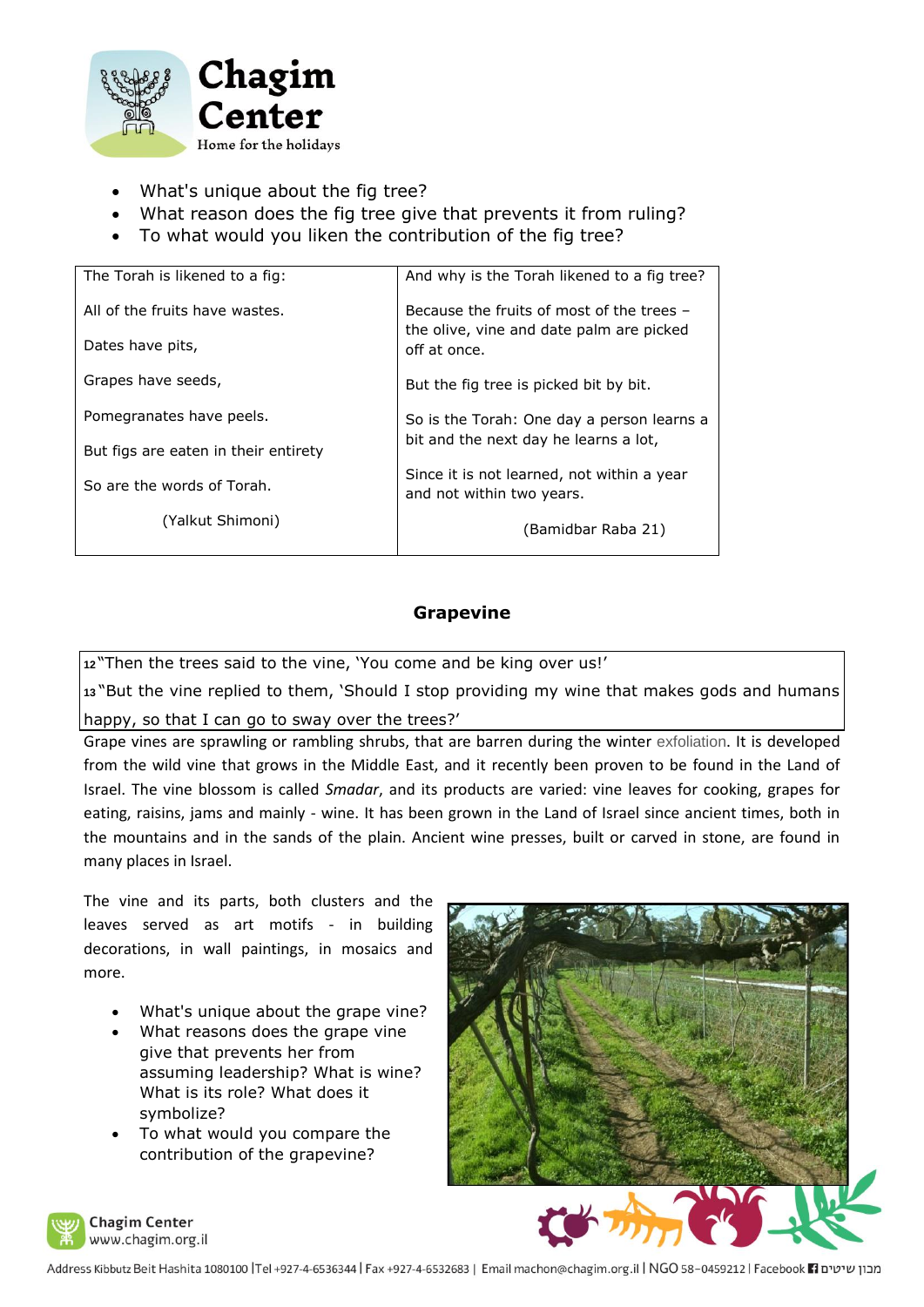

- What's unique about the fig tree?
- What reason does the fig tree give that prevents it from ruling?
- To what would you liken the contribution of the fig tree?

| The Torah is likened to a fig:       | And why is the Torah likened to a fig tree?                             |
|--------------------------------------|-------------------------------------------------------------------------|
| All of the fruits have wastes.       | Because the fruits of most of the trees -                               |
| Dates have pits,                     | the olive, vine and date palm are picked<br>off at once.                |
| Grapes have seeds,                   | But the fig tree is picked bit by bit.                                  |
| Pomegranates have peels.             | So is the Torah: One day a person learns a                              |
| But figs are eaten in their entirety | bit and the next day he learns a lot,                                   |
| So are the words of Torah.           | Since it is not learned, not within a year<br>and not within two years. |
| (Yalkut Shimoni)                     | (Bamidbar Raba 21)                                                      |
|                                      |                                                                         |

## **Grapevine**

**<sup>12</sup>** "Then the trees said to the vine, 'You come and be king over us!'

**<sup>13</sup>** "But the vine replied to them, 'Should I stop providing my wine that makes gods and humans happy, so that I can go to sway over the trees?'

Grape vines are sprawling or rambling shrubs, that are barren during the winter exfoliation. It is developed from the wild vine that grows in the Middle East, and it recently been proven to be found in the Land of Israel. The vine blossom is called *Smadar*, and its products are varied: vine leaves for cooking, grapes for eating, raisins, jams and mainly - wine. It has been grown in the Land of Israel since ancient times, both in the mountains and in the sands of the plain. Ancient wine presses, built or carved in stone, are found in many places in Israel.

The vine and its parts, both clusters and the leaves served as art motifs - in building decorations, in wall paintings, in mosaics and more.

- What's unique about the grape vine?
- What reasons does the grape vine give that prevents her from assuming leadership? What is wine? What is its role? What does it symbolize?
- To what would you compare the contribution of the grapevine?